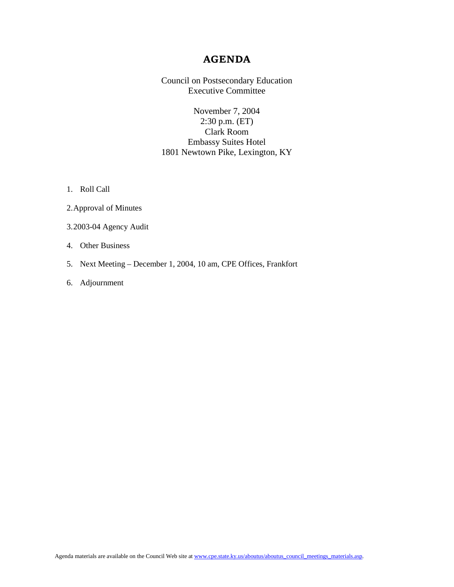## **AGENDA**

Council on Postsecondary Education Executive Committee

November 7, 2004 2:30 p.m. (ET) Clark Room Embassy Suites Hotel 1801 Newtown Pike, Lexington, KY

1. Roll Call

- 2.Approval of Minutes
- 3.2003-04 Agency Audit
- 4. Other Business
- 5. Next Meeting December 1, 2004, 10 am, CPE Offices, Frankfort
- 6. Adjournment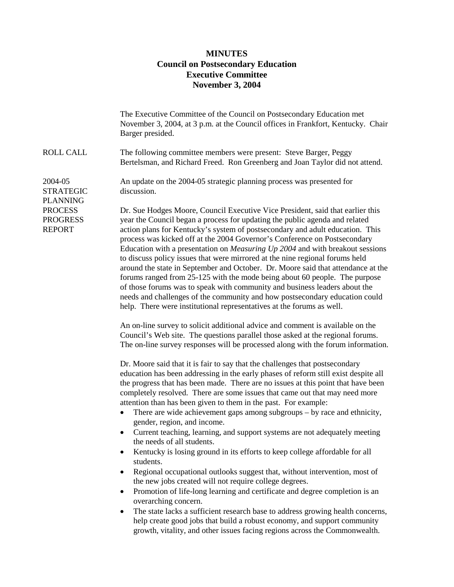## **MINUTES Council on Postsecondary Education Executive Committee November 3, 2004**

|                                                    | The Executive Committee of the Council on Postsecondary Education met<br>November 3, 2004, at 3 p.m. at the Council offices in Frankfort, Kentucky. Chair<br>Barger presided.                                                                                                                                                                                                                                                                                                                                                                                                                                                                                                                                                                                                                                                                                                                        |
|----------------------------------------------------|------------------------------------------------------------------------------------------------------------------------------------------------------------------------------------------------------------------------------------------------------------------------------------------------------------------------------------------------------------------------------------------------------------------------------------------------------------------------------------------------------------------------------------------------------------------------------------------------------------------------------------------------------------------------------------------------------------------------------------------------------------------------------------------------------------------------------------------------------------------------------------------------------|
| <b>ROLL CALL</b>                                   | The following committee members were present: Steve Barger, Peggy<br>Bertelsman, and Richard Freed. Ron Greenberg and Joan Taylor did not attend.                                                                                                                                                                                                                                                                                                                                                                                                                                                                                                                                                                                                                                                                                                                                                    |
| 2004-05<br><b>STRATEGIC</b><br><b>PLANNING</b>     | An update on the 2004-05 strategic planning process was presented for<br>discussion.                                                                                                                                                                                                                                                                                                                                                                                                                                                                                                                                                                                                                                                                                                                                                                                                                 |
| <b>PROCESS</b><br><b>PROGRESS</b><br><b>REPORT</b> | Dr. Sue Hodges Moore, Council Executive Vice President, said that earlier this<br>year the Council began a process for updating the public agenda and related<br>action plans for Kentucky's system of postsecondary and adult education. This<br>process was kicked off at the 2004 Governor's Conference on Postsecondary<br>Education with a presentation on Measuring Up 2004 and with breakout sessions<br>to discuss policy issues that were mirrored at the nine regional forums held<br>around the state in September and October. Dr. Moore said that attendance at the<br>forums ranged from 25-125 with the mode being about 60 people. The purpose<br>of those forums was to speak with community and business leaders about the<br>needs and challenges of the community and how postsecondary education could<br>help. There were institutional representatives at the forums as well. |
|                                                    | An on-line survey to solicit additional advice and comment is available on the<br>Council's Web site. The questions parallel those asked at the regional forums.<br>The on-line survey responses will be processed along with the forum information.                                                                                                                                                                                                                                                                                                                                                                                                                                                                                                                                                                                                                                                 |
|                                                    | Dr. Moore said that it is fair to say that the challenges that postsecondary<br>education has been addressing in the early phases of reform still exist despite all<br>the progress that has been made. There are no issues at this point that have been<br>completely resolved. There are some issues that came out that may need more<br>attention than has been given to them in the past. For example:<br>There are wide achievement gaps among subgroups - by race and ethnicity,<br>$\bullet$<br>gender, region, and income.<br>Current teaching, learning, and support systems are not adequately meeting                                                                                                                                                                                                                                                                                     |
|                                                    | the needs of all students.<br>Kentucky is losing ground in its efforts to keep college affordable for all<br>students.<br>Regional occupational outlooks suggest that, without intervention, most of<br>the new jobs created will not require college degrees.<br>Promotion of life-long learning and certificate and degree completion is an<br>$\bullet$<br>overarching concern.<br>The state lacks a sufficient research base to address growing health concerns,<br>٠<br>help create good jobs that build a robust economy, and support community<br>growth, vitality, and other issues facing regions across the Commonwealth.                                                                                                                                                                                                                                                                  |
|                                                    |                                                                                                                                                                                                                                                                                                                                                                                                                                                                                                                                                                                                                                                                                                                                                                                                                                                                                                      |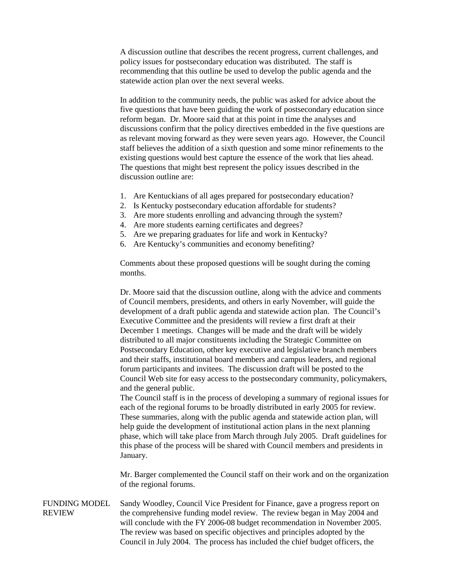A discussion outline that describes the recent progress, current challenges, and policy issues for postsecondary education was distributed. The staff is recommending that this outline be used to develop the public agenda and the statewide action plan over the next several weeks.

In addition to the community needs, the public was asked for advice about the five questions that have been guiding the work of postsecondary education since reform began. Dr. Moore said that at this point in time the analyses and discussions confirm that the policy directives embedded in the five questions are as relevant moving forward as they were seven years ago. However, the Council staff believes the addition of a sixth question and some minor refinements to the existing questions would best capture the essence of the work that lies ahead. The questions that might best represent the policy issues described in the discussion outline are:

- 1. Are Kentuckians of all ages prepared for postsecondary education?
- 2. Is Kentucky postsecondary education affordable for students?
- 3. Are more students enrolling and advancing through the system?
- 4. Are more students earning certificates and degrees?
- 5. Are we preparing graduates for life and work in Kentucky?
- 6. Are Kentucky's communities and economy benefiting?

Comments about these proposed questions will be sought during the coming months.

Dr. Moore said that the discussion outline, along with the advice and comments of Council members, presidents, and others in early November, will guide the development of a draft public agenda and statewide action plan. The Council's Executive Committee and the presidents will review a first draft at their December 1 meetings. Changes will be made and the draft will be widely distributed to all major constituents including the Strategic Committee on Postsecondary Education, other key executive and legislative branch members and their staffs, institutional board members and campus leaders, and regional forum participants and invitees. The discussion draft will be posted to the Council Web site for easy access to the postsecondary community, policymakers, and the general public.

The Council staff is in the process of developing a summary of regional issues for each of the regional forums to be broadly distributed in early 2005 for review. These summaries, along with the public agenda and statewide action plan, will help guide the development of institutional action plans in the next planning phase, which will take place from March through July 2005. Draft guidelines for this phase of the process will be shared with Council members and presidents in January.

Mr. Barger complemented the Council staff on their work and on the organization of the regional forums.

FUNDING MODEL REVIEW Sandy Woodley, Council Vice President for Finance, gave a progress report on the comprehensive funding model review. The review began in May 2004 and will conclude with the FY 2006-08 budget recommendation in November 2005. The review was based on specific objectives and principles adopted by the Council in July 2004. The process has included the chief budget officers, the